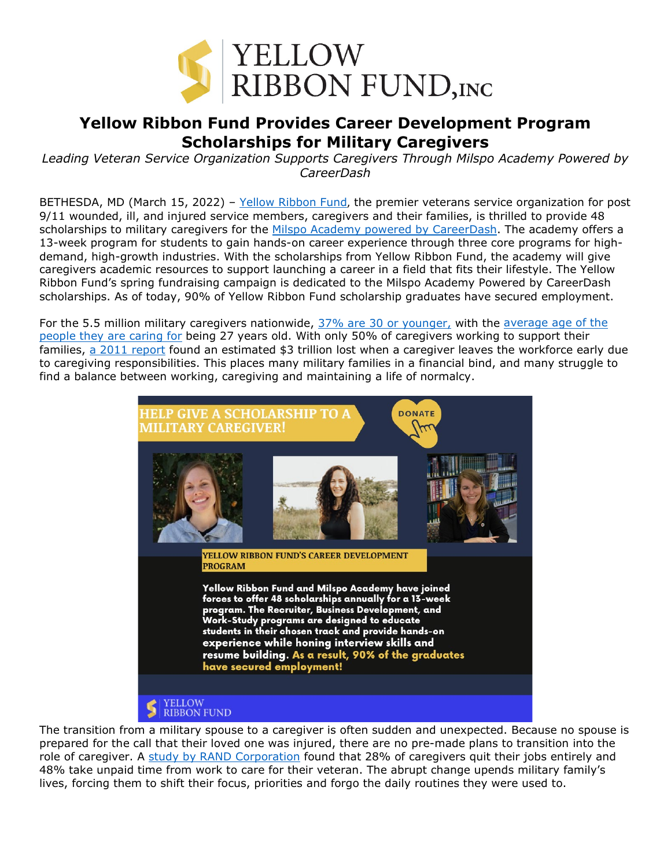

## **Yellow Ribbon Fund Provides Career Development Program Scholarships for Military Caregivers**

*Leading Veteran Service Organization Supports Caregivers Through Milspo Academy Powered by CareerDash*

BETHESDA, MD (March 15, 2022) - [Yellow Ribbon Fund](https://yellowribbonfund.org/story/?utm_source=spring+campaign+press+release&utm_medium=press+release&utm_campaign=career+development+program&utm_content=yellow+ribbon+fund+hyperlink+1), the premier veterans service organization for post 9/11 wounded, ill, and injured service members, caregivers and their families, is thrilled to provide 48 scholarships to military caregivers for the [Milspo Academy](https://careerdash.com/milspo-academy/) powered by CareerDash. The academy offers a 13-week program for students to gain hands-on career experience through three core programs for highdemand, high-growth industries. With the scholarships from Yellow Ribbon Fund, the academy will give caregivers academic resources to support launching a career in a field that fits their lifestyle. The Yellow Ribbon Fund's spring fundraising campaign is dedicated to the Milspo Academy Powered by CareerDash scholarships. As of today, 90% of Yellow Ribbon Fund scholarship graduates have secured employment.

For the 5.5 million military caregivers nationwide, 37% [are 30 or younger,](https://www.rand.org/pubs/research_briefs/RB9764.html) with the [average age of the](https://www.proquest.com/docview/2002370348?accountid=7098&parentSessionId=VMl8L41seYu4uoIG9WSaQUzS5sUo4%2BOlDFmxov%2BmpTo%3D&pq-origsite=primo)  [people they are caring for](https://www.proquest.com/docview/2002370348?accountid=7098&parentSessionId=VMl8L41seYu4uoIG9WSaQUzS5sUo4%2BOlDFmxov%2BmpTo%3D&pq-origsite=primo) being 27 years old. With only 50% of caregivers working to support their families, [a 2011 report](https://www.caregiving.org/wp-content/uploads/2011/06/mmi-caregiving-costs-working-caregivers.pdf) found an estimated \$3 trillion lost when a caregiver leaves the workforce early due to caregiving responsibilities. This places many military families in a financial bind, and many struggle to find a balance between working, caregiving and maintaining a life of normalcy.



The transition from a military spouse to a caregiver is often sudden and unexpected. Because no spouse is prepared for the call that their loved one was injured, there are no pre-made plans to transition into the role of caregiver. A [study by RAND Corporation](https://www.rand.org/pubs/research_briefs/RB9764z2.html) found that 28% of caregivers quit their jobs entirely and 48% take unpaid time from work to care for their veteran. The abrupt change upends military family's lives, forcing them to shift their focus, priorities and forgo the daily routines they were used to.